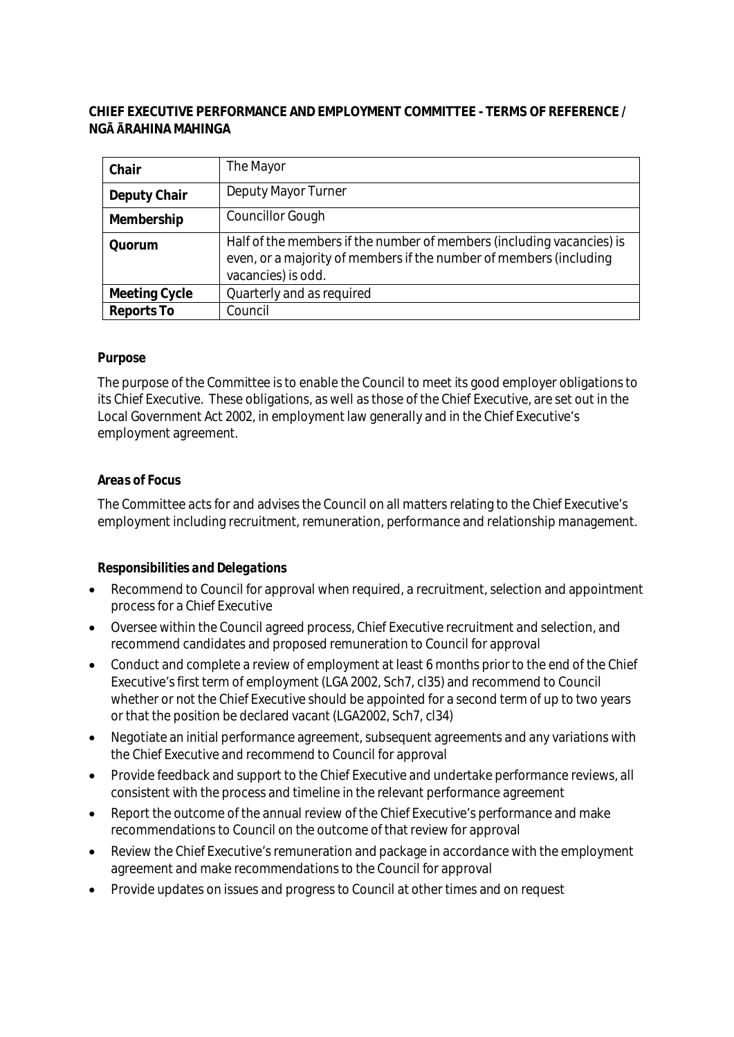# **CHIEF EXECUTIVE PERFORMANCE AND EMPLOYMENT COMMITTEE - TERMS OF REFERENCE / NGĀ ĀRAHINA MAHINGA**

| Chair         | The Mayor                                                                                                                                                         |
|---------------|-------------------------------------------------------------------------------------------------------------------------------------------------------------------|
| Deputy Chair  | Deputy Mayor Turner                                                                                                                                               |
| Membership    | <b>Councillor Gough</b>                                                                                                                                           |
| Quorum        | Half of the members if the number of members (including vacancies) is<br>even, or a majority of members if the number of members (including<br>vacancies) is odd. |
| Meeting Cycle | Quarterly and as required                                                                                                                                         |
| Reports To    | Council                                                                                                                                                           |

## *Purpose*

The purpose of the Committee is to enable the Council to meet its good employer obligations to its Chief Executive. These obligations, as well as those of the Chief Executive, are set out in the Local Government Act 2002, in employment law generally and in the Chief Executive's employment agreement.

### *Areas of Focus*

The Committee acts for and advises the Council on all matters relating to the Chief Executive's employment including recruitment, remuneration, performance and relationship management.

## *Responsibilities and Delegations*

- Recommend to Council for approval when required, a recruitment, selection and appointment process for a Chief Executive
- Oversee within the Council agreed process, Chief Executive recruitment and selection, and recommend candidates and proposed remuneration to Council for approval
- Conduct and complete a review of employment at least 6 months prior to the end of the Chief Executive's first term of employment (LGA 2002, Sch7, cl35) and recommend to Council whether or not the Chief Executive should be appointed for a second term of up to two years or that the position be declared vacant (LGA2002, Sch7, cl34)
- Negotiate an initial performance agreement, subsequent agreements and any variations with the Chief Executive and recommend to Council for approval
- Provide feedback and support to the Chief Executive and undertake performance reviews, all consistent with the process and timeline in the relevant performance agreement
- Report the outcome of the annual review of the Chief Executive's performance and make recommendations to Council on the outcome of that review for approval
- Review the Chief Executive's remuneration and package in accordance with the employment agreement and make recommendations to the Council for approval
- Provide updates on issues and progress to Council at other times and on request